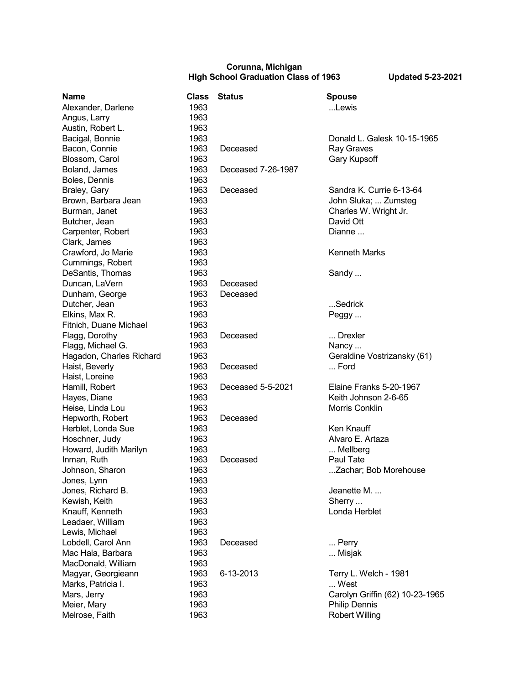## **Corunna, Michigan High School Graduation Class of 1963 Updated 5-23-2021**

| <b>Name</b>              | <b>Class</b> | <b>Status</b>      | <b>Spouse</b>             |
|--------------------------|--------------|--------------------|---------------------------|
| Alexander, Darlene       | 1963         |                    | Lewis                     |
| Angus, Larry             | 1963         |                    |                           |
| Austin, Robert L.        | 1963         |                    |                           |
| Bacigal, Bonnie          | 1963         |                    | Donald L. Galesk 10-15    |
| Bacon, Connie            | 1963         | Deceased           | Ray Graves                |
| Blossom, Carol           | 1963         |                    | <b>Gary Kupsoff</b>       |
| Boland, James            | 1963         | Deceased 7-26-1987 |                           |
| Boles, Dennis            | 1963         |                    |                           |
| Braley, Gary             | 1963         | Deceased           | Sandra K. Currie 6-13-6   |
| Brown, Barbara Jean      | 1963         |                    | John Sluka;  Zumsteg      |
| Burman, Janet            | 1963         |                    | Charles W. Wright Jr.     |
| Butcher, Jean            | 1963         |                    | David Ott                 |
| Carpenter, Robert        | 1963         |                    | Dianne                    |
| Clark, James             | 1963         |                    |                           |
| Crawford, Jo Marie       | 1963         |                    | <b>Kenneth Marks</b>      |
| Cummings, Robert         | 1963         |                    |                           |
| DeSantis, Thomas         | 1963         |                    | Sandy                     |
| Duncan, LaVern           | 1963         | Deceased           |                           |
| Dunham, George           | 1963         | Deceased           |                           |
| Dutcher, Jean            | 1963         |                    | Sedrick                   |
| Elkins, Max R.           | 1963         |                    | Peggy                     |
| Fitnich, Duane Michael   | 1963         |                    |                           |
| Flagg, Dorothy           | 1963         | Deceased           | Drexler                   |
| Flagg, Michael G.        | 1963         |                    | Nancy                     |
| Hagadon, Charles Richard | 1963         |                    | Geraldine Vostrizansky    |
| Haist, Beverly           | 1963         | Deceased           | Ford                      |
| Haist, Loreine           | 1963         |                    |                           |
| Hamill, Robert           | 1963         | Deceased 5-5-2021  | Elaine Franks 5-20-196    |
| Hayes, Diane             | 1963         |                    | Keith Johnson 2-6-65      |
| Heise, Linda Lou         | 1963         |                    | Morris Conklin            |
| Hepworth, Robert         | 1963         | Deceased           |                           |
| Herblet, Londa Sue       | 1963         |                    | Ken Knauff                |
| Hoschner, Judy           | 1963         |                    | Alvaro E. Artaza          |
| Howard, Judith Marilyn   | 1963         |                    | Mellberg                  |
| Inman, Ruth              | 1963         | Deceased           | Paul Tate                 |
| Johnson, Sharon          | 1963         |                    | Zachar; Bob Morehou       |
| Jones, Lynn              | 1963         |                    |                           |
| Jones, Richard B.        | 1963         |                    | Jeanette M.               |
| Kewish, Keith            | 1963         |                    | Sherry                    |
| Knauff, Kenneth          | 1963         |                    | Londa Herblet             |
| Leadaer, William         | 1963         |                    |                           |
| Lewis, Michael           | 1963         |                    |                           |
| Lobdell, Carol Ann       | 1963         | Deceased           | Perry                     |
| Mac Hala, Barbara        | 1963         |                    | Misjak                    |
| MacDonald, William       | 1963         |                    |                           |
| Magyar, Georgieann       | 1963         | 6-13-2013          | Terry L. Welch - 1981     |
| Marks, Patricia I.       | 1963         |                    | West                      |
| Mars, Jerry              | 1963         |                    | Carolyn Griffin (62) 10-2 |
| Meier, Mary              | 1963         |                    | <b>Philip Dennis</b>      |
| Melrose, Faith           | 1963         |                    | <b>Robert Willing</b>     |
|                          |              |                    |                           |

| วเสเนร                         | əpouse<br>…Lewis                                                                                                 |
|--------------------------------|------------------------------------------------------------------------------------------------------------------|
| Deceased<br>Deceased 7-26-1987 | Donald L. Galesk 10-15-1965<br>Ray Graves<br>Gary Kupsoff                                                        |
| Deceased                       | Sandra K. Currie 6-13-64<br>John Sluka;  Zumsteg<br>Charles W. Wright Jr.<br>David Ott<br>Dianne                 |
|                                | <b>Kenneth Marks</b>                                                                                             |
| Deceased<br>Deceased           | Sandy                                                                                                            |
|                                | …Sedrick<br>Peggy                                                                                                |
| Deceased                       | Drexler<br>Nancy<br>Geraldine Vostrizansky (61)                                                                  |
| Deceased                       | Ford                                                                                                             |
| Deceased 5-5-2021              | Elaine Franks 5-20-1967<br>Keith Johnson 2-6-65<br><b>Morris Conklin</b>                                         |
| Deceased                       | Ken Knauff<br>Alvaro E. Artaza                                                                                   |
| Deceased                       | Mellberg<br>Paul Tate<br>Zachar; Bob Morehouse                                                                   |
|                                | Jeanette M.<br>Sherry<br>Londa Herblet                                                                           |
| Deceased                       | Perry<br>Misjak                                                                                                  |
| 6-13-2013                      | Terry L. Welch - 1981<br>West<br>Carolyn Griffin (62) 10-23-196<br><b>Philip Dennis</b><br><b>Robert Willing</b> |

iriffin (62) 10-23-1965<br><sub>I</sub>nis